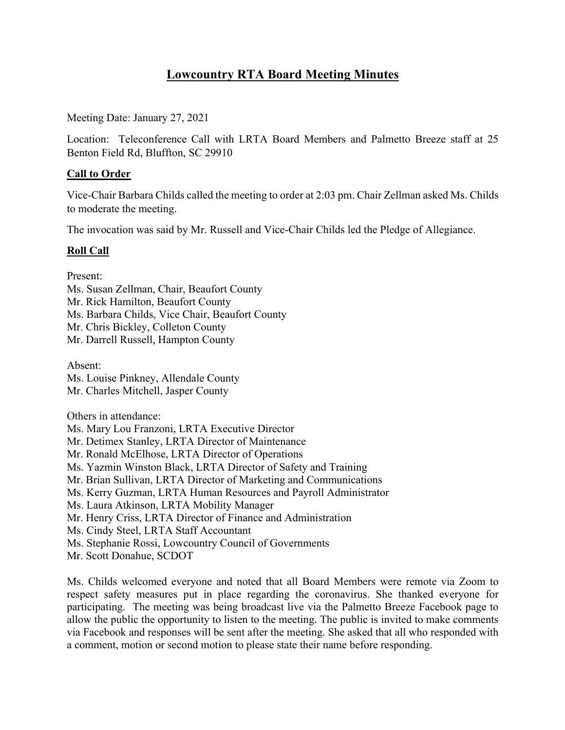# **Lowcountry RTA Board Meeting Minutes**

Meeting Date: January 27, 2021

Location: Teleconference Call with LRTA Board Members and Palmetto Breeze staff at 25 Benton Field Rd, Bluffton, SC 29910

# **Call to Order**

Vice-Chair Barbara Childs called the meeting to order at 2:03 pm. Chair Zellman asked Ms. Childs to moderate the meeting.

The invocation was said by Mr. Russell and Vice-Chair Childs led the Pledge of Allegiance.

# **Roll Call**

Present:

Ms. Susan Zellman, Chair, Beaufort County Mr. Rick Hamilton, Beaufort County Ms. Barbara Childs, Vice Chair, Beaufort County Mr. Chris Bickley, Colleton County Mr. Darrell Russell, Hampton County

Absent: Ms. Louise Pinkney, Allendale County Mr. Charles Mitchell, Jasper County

Others in attendance:

Ms. Mary Lou Franzoni, LRTA Executive Director Mr. Detimex Stanley, LRTA Director of Maintenance Mr. Ronald McElhose, LRTA Director of Operations Ms. Yazmin Winston Black, LRTA Director of Safety and Training Mr. Brian Sullivan, LRTA Director of Marketing and Communications Ms. Kerry Guzman, LRTA Human Resources and Payroll Administrator Ms. Laura Atkinson, LRTA Mobility Manager Mr. Henry Criss, LRTA Director of Finance and Administration Ms. Cindy Steel, LRTA Staff Accountant Ms. Stephanie Rossi, Lowcountry Council of Governments Mr. Scott Donahue, SCDOT

Ms. Childs welcomed everyone and noted that all Board Members were remote via Zoom to respect safety measures put in place regarding the coronavirus. She thanked everyone for participating. The meeting was being broadcast live via the Palmetto Breeze Facebook page to allow the public the opportunity to listen to the meeting. The public is invited to make comments via Facebook and responses will be sent after the meeting. She asked that all who responded with a comment, motion or second motion to please state their name before responding.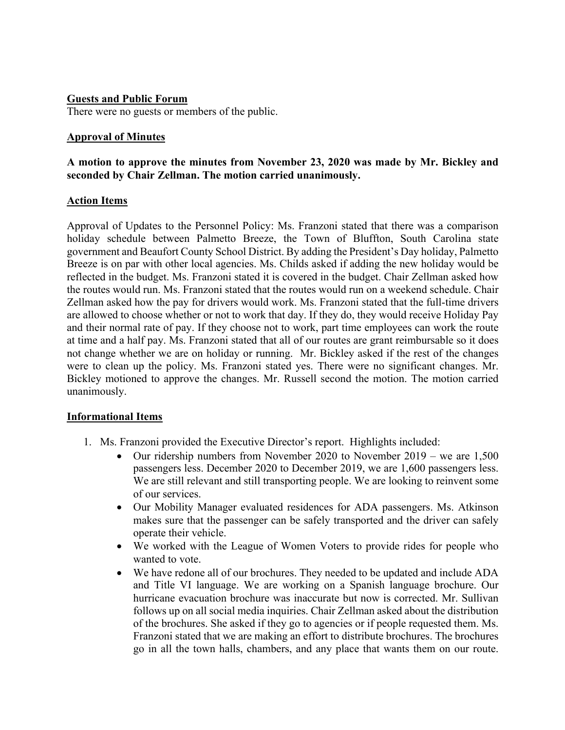#### **Guests and Public Forum**

There were no guests or members of the public.

#### **Approval of Minutes**

# **A motion to approve the minutes from November 23, 2020 was made by Mr. Bickley and seconded by Chair Zellman. The motion carried unanimously.**

## **Action Items**

Approval of Updates to the Personnel Policy: Ms. Franzoni stated that there was a comparison holiday schedule between Palmetto Breeze, the Town of Bluffton, South Carolina state government and Beaufort County School District. By adding the President's Day holiday, Palmetto Breeze is on par with other local agencies. Ms. Childs asked if adding the new holiday would be reflected in the budget. Ms. Franzoni stated it is covered in the budget. Chair Zellman asked how the routes would run. Ms. Franzoni stated that the routes would run on a weekend schedule. Chair Zellman asked how the pay for drivers would work. Ms. Franzoni stated that the full-time drivers are allowed to choose whether or not to work that day. If they do, they would receive Holiday Pay and their normal rate of pay. If they choose not to work, part time employees can work the route at time and a half pay. Ms. Franzoni stated that all of our routes are grant reimbursable so it does not change whether we are on holiday or running. Mr. Bickley asked if the rest of the changes were to clean up the policy. Ms. Franzoni stated yes. There were no significant changes. Mr. Bickley motioned to approve the changes. Mr. Russell second the motion. The motion carried unanimously.

#### **Informational Items**

- 1. Ms. Franzoni provided the Executive Director's report. Highlights included:
	- Our ridership numbers from November 2020 to November 2019 we are 1,500 passengers less. December 2020 to December 2019, we are 1,600 passengers less. We are still relevant and still transporting people. We are looking to reinvent some of our services.
	- Our Mobility Manager evaluated residences for ADA passengers. Ms. Atkinson makes sure that the passenger can be safely transported and the driver can safely operate their vehicle.
	- We worked with the League of Women Voters to provide rides for people who wanted to vote.
	- We have redone all of our brochures. They needed to be updated and include ADA and Title VI language. We are working on a Spanish language brochure. Our hurricane evacuation brochure was inaccurate but now is corrected. Mr. Sullivan follows up on all social media inquiries. Chair Zellman asked about the distribution of the brochures. She asked if they go to agencies or if people requested them. Ms. Franzoni stated that we are making an effort to distribute brochures. The brochures go in all the town halls, chambers, and any place that wants them on our route.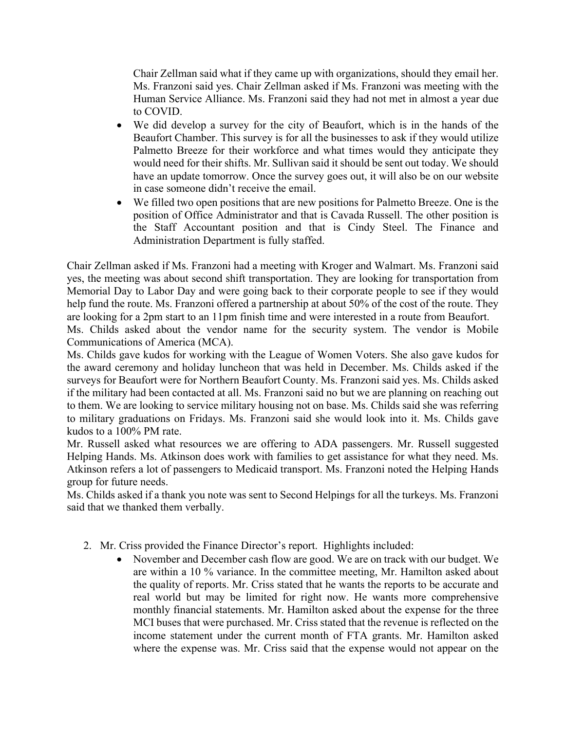Chair Zellman said what if they came up with organizations, should they email her. Ms. Franzoni said yes. Chair Zellman asked if Ms. Franzoni was meeting with the Human Service Alliance. Ms. Franzoni said they had not met in almost a year due to COVID.

- We did develop a survey for the city of Beaufort, which is in the hands of the Beaufort Chamber. This survey is for all the businesses to ask if they would utilize Palmetto Breeze for their workforce and what times would they anticipate they would need for their shifts. Mr. Sullivan said it should be sent out today. We should have an update tomorrow. Once the survey goes out, it will also be on our website in case someone didn't receive the email.
- We filled two open positions that are new positions for Palmetto Breeze. One is the position of Office Administrator and that is Cavada Russell. The other position is the Staff Accountant position and that is Cindy Steel. The Finance and Administration Department is fully staffed.

Chair Zellman asked if Ms. Franzoni had a meeting with Kroger and Walmart. Ms. Franzoni said yes, the meeting was about second shift transportation. They are looking for transportation from Memorial Day to Labor Day and were going back to their corporate people to see if they would help fund the route. Ms. Franzoni offered a partnership at about 50% of the cost of the route. They are looking for a 2pm start to an 11pm finish time and were interested in a route from Beaufort.

Ms. Childs asked about the vendor name for the security system. The vendor is Mobile Communications of America (MCA).

Ms. Childs gave kudos for working with the League of Women Voters. She also gave kudos for the award ceremony and holiday luncheon that was held in December. Ms. Childs asked if the surveys for Beaufort were for Northern Beaufort County. Ms. Franzoni said yes. Ms. Childs asked if the military had been contacted at all. Ms. Franzoni said no but we are planning on reaching out to them. We are looking to service military housing not on base. Ms. Childs said she was referring to military graduations on Fridays. Ms. Franzoni said she would look into it. Ms. Childs gave kudos to a 100% PM rate.

Mr. Russell asked what resources we are offering to ADA passengers. Mr. Russell suggested Helping Hands. Ms. Atkinson does work with families to get assistance for what they need. Ms. Atkinson refers a lot of passengers to Medicaid transport. Ms. Franzoni noted the Helping Hands group for future needs.

Ms. Childs asked if a thank you note was sent to Second Helpings for all the turkeys. Ms. Franzoni said that we thanked them verbally.

- 2. Mr. Criss provided the Finance Director's report. Highlights included:
	- November and December cash flow are good. We are on track with our budget. We are within a 10 % variance. In the committee meeting, Mr. Hamilton asked about the quality of reports. Mr. Criss stated that he wants the reports to be accurate and real world but may be limited for right now. He wants more comprehensive monthly financial statements. Mr. Hamilton asked about the expense for the three MCI buses that were purchased. Mr. Criss stated that the revenue is reflected on the income statement under the current month of FTA grants. Mr. Hamilton asked where the expense was. Mr. Criss said that the expense would not appear on the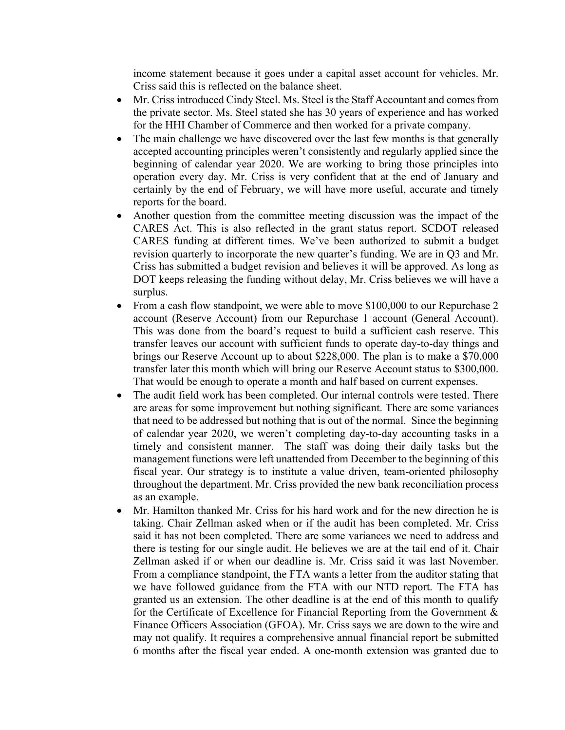income statement because it goes under a capital asset account for vehicles. Mr. Criss said this is reflected on the balance sheet.

- Mr. Criss introduced Cindy Steel. Ms. Steel is the Staff Accountant and comes from the private sector. Ms. Steel stated she has 30 years of experience and has worked for the HHI Chamber of Commerce and then worked for a private company.
- The main challenge we have discovered over the last few months is that generally accepted accounting principles weren't consistently and regularly applied since the beginning of calendar year 2020. We are working to bring those principles into operation every day. Mr. Criss is very confident that at the end of January and certainly by the end of February, we will have more useful, accurate and timely reports for the board.
- Another question from the committee meeting discussion was the impact of the CARES Act. This is also reflected in the grant status report. SCDOT released CARES funding at different times. We've been authorized to submit a budget revision quarterly to incorporate the new quarter's funding. We are in Q3 and Mr. Criss has submitted a budget revision and believes it will be approved. As long as DOT keeps releasing the funding without delay, Mr. Criss believes we will have a surplus.
- From a cash flow standpoint, we were able to move \$100,000 to our Repurchase 2 account (Reserve Account) from our Repurchase 1 account (General Account). This was done from the board's request to build a sufficient cash reserve. This transfer leaves our account with sufficient funds to operate day-to-day things and brings our Reserve Account up to about \$228,000. The plan is to make a \$70,000 transfer later this month which will bring our Reserve Account status to \$300,000. That would be enough to operate a month and half based on current expenses.
- The audit field work has been completed. Our internal controls were tested. There are areas for some improvement but nothing significant. There are some variances that need to be addressed but nothing that is out of the normal. Since the beginning of calendar year 2020, we weren't completing day-to-day accounting tasks in a timely and consistent manner. The staff was doing their daily tasks but the management functions were left unattended from December to the beginning of this fiscal year. Our strategy is to institute a value driven, team-oriented philosophy throughout the department. Mr. Criss provided the new bank reconciliation process as an example.
- Mr. Hamilton thanked Mr. Criss for his hard work and for the new direction he is taking. Chair Zellman asked when or if the audit has been completed. Mr. Criss said it has not been completed. There are some variances we need to address and there is testing for our single audit. He believes we are at the tail end of it. Chair Zellman asked if or when our deadline is. Mr. Criss said it was last November. From a compliance standpoint, the FTA wants a letter from the auditor stating that we have followed guidance from the FTA with our NTD report. The FTA has granted us an extension. The other deadline is at the end of this month to qualify for the Certificate of Excellence for Financial Reporting from the Government & Finance Officers Association (GFOA). Mr. Criss says we are down to the wire and may not qualify. It requires a comprehensive annual financial report be submitted 6 months after the fiscal year ended. A one-month extension was granted due to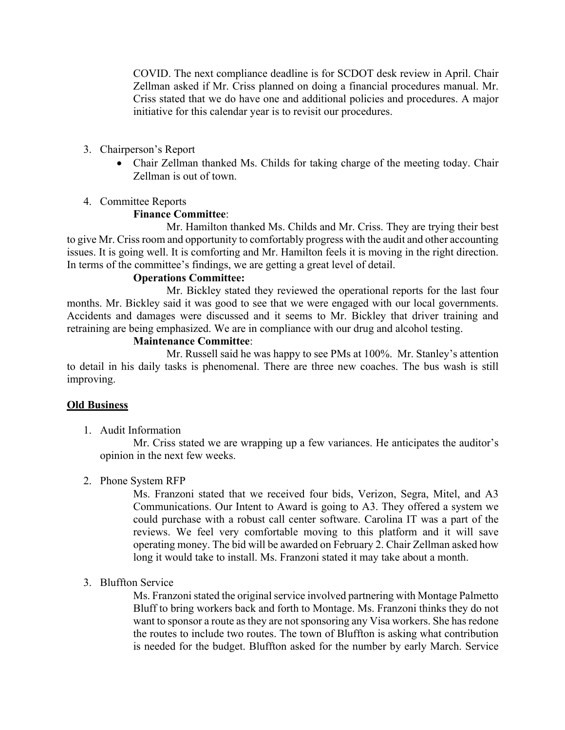COVID. The next compliance deadline is for SCDOT desk review in April. Chair Zellman asked if Mr. Criss planned on doing a financial procedures manual. Mr. Criss stated that we do have one and additional policies and procedures. A major initiative for this calendar year is to revisit our procedures.

- 3. Chairperson's Report
	- Chair Zellman thanked Ms. Childs for taking charge of the meeting today. Chair Zellman is out of town.
- 4. Committee Reports

# **Finance Committee**:

Mr. Hamilton thanked Ms. Childs and Mr. Criss. They are trying their best to give Mr. Criss room and opportunity to comfortably progress with the audit and other accounting issues. It is going well. It is comforting and Mr. Hamilton feels it is moving in the right direction. In terms of the committee's findings, we are getting a great level of detail.

# **Operations Committee:**

Mr. Bickley stated they reviewed the operational reports for the last four months. Mr. Bickley said it was good to see that we were engaged with our local governments. Accidents and damages were discussed and it seems to Mr. Bickley that driver training and retraining are being emphasized. We are in compliance with our drug and alcohol testing.

## **Maintenance Committee**:

Mr. Russell said he was happy to see PMs at 100%. Mr. Stanley's attention to detail in his daily tasks is phenomenal. There are three new coaches. The bus wash is still improving.

# **Old Business**

1. Audit Information

Mr. Criss stated we are wrapping up a few variances. He anticipates the auditor's opinion in the next few weeks.

2. Phone System RFP

Ms. Franzoni stated that we received four bids, Verizon, Segra, Mitel, and A3 Communications. Our Intent to Award is going to A3. They offered a system we could purchase with a robust call center software. Carolina IT was a part of the reviews. We feel very comfortable moving to this platform and it will save operating money. The bid will be awarded on February 2. Chair Zellman asked how long it would take to install. Ms. Franzoni stated it may take about a month.

3. Bluffton Service

Ms. Franzoni stated the original service involved partnering with Montage Palmetto Bluff to bring workers back and forth to Montage. Ms. Franzoni thinks they do not want to sponsor a route as they are not sponsoring any Visa workers. She has redone the routes to include two routes. The town of Bluffton is asking what contribution is needed for the budget. Bluffton asked for the number by early March. Service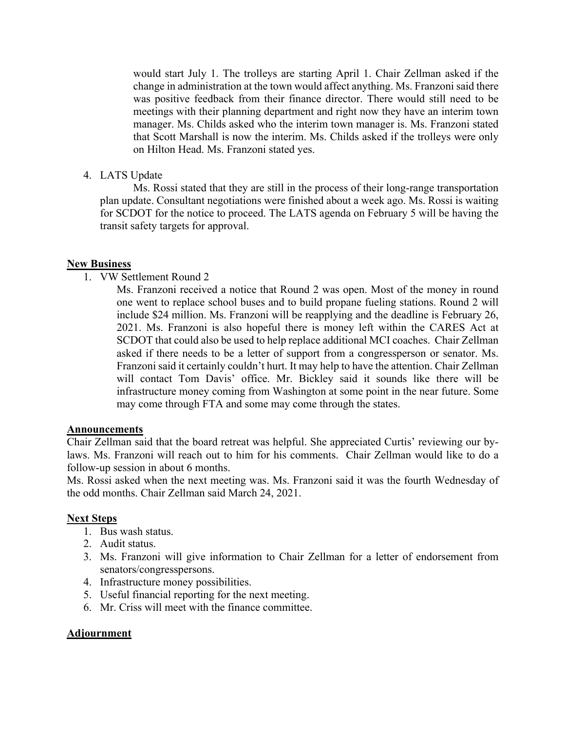would start July 1. The trolleys are starting April 1. Chair Zellman asked if the change in administration at the town would affect anything. Ms. Franzoni said there was positive feedback from their finance director. There would still need to be meetings with their planning department and right now they have an interim town manager. Ms. Childs asked who the interim town manager is. Ms. Franzoni stated that Scott Marshall is now the interim. Ms. Childs asked if the trolleys were only on Hilton Head. Ms. Franzoni stated yes.

4. LATS Update

Ms. Rossi stated that they are still in the process of their long-range transportation plan update. Consultant negotiations were finished about a week ago. Ms. Rossi is waiting for SCDOT for the notice to proceed. The LATS agenda on February 5 will be having the transit safety targets for approval.

## **New Business**

1. VW Settlement Round 2

Ms. Franzoni received a notice that Round 2 was open. Most of the money in round one went to replace school buses and to build propane fueling stations. Round 2 will include \$24 million. Ms. Franzoni will be reapplying and the deadline is February 26, 2021. Ms. Franzoni is also hopeful there is money left within the CARES Act at SCDOT that could also be used to help replace additional MCI coaches. Chair Zellman asked if there needs to be a letter of support from a congressperson or senator. Ms. Franzoni said it certainly couldn't hurt. It may help to have the attention. Chair Zellman will contact Tom Davis' office. Mr. Bickley said it sounds like there will be infrastructure money coming from Washington at some point in the near future. Some may come through FTA and some may come through the states.

## **Announcements**

Chair Zellman said that the board retreat was helpful. She appreciated Curtis' reviewing our bylaws. Ms. Franzoni will reach out to him for his comments. Chair Zellman would like to do a follow-up session in about 6 months.

Ms. Rossi asked when the next meeting was. Ms. Franzoni said it was the fourth Wednesday of the odd months. Chair Zellman said March 24, 2021.

#### **Next Steps**

- 1. Bus wash status.
- 2. Audit status.
- 3. Ms. Franzoni will give information to Chair Zellman for a letter of endorsement from senators/congresspersons.
- 4. Infrastructure money possibilities.
- 5. Useful financial reporting for the next meeting.
- 6. Mr. Criss will meet with the finance committee.

## **Adjournment**